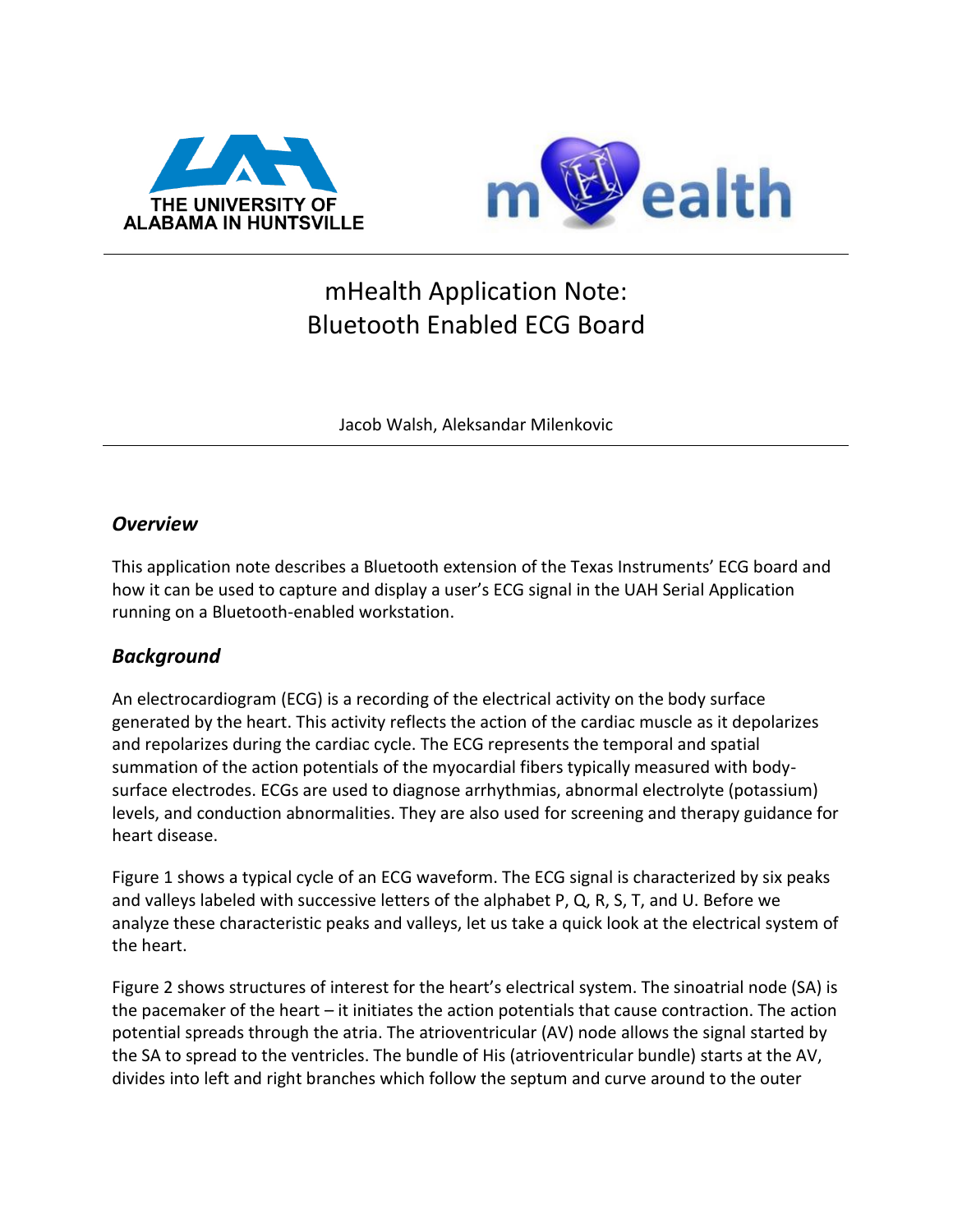



# mHealth Application Note: Bluetooth Enabled ECG Board

Jacob Walsh, Aleksandar Milenkovic

#### *Overview*

This application note describes a Bluetooth extension of the Texas Instruments' ECG board and how it can be used to capture and display a user's ECG signal in the UAH Serial Application running on a Bluetooth-enabled workstation.

#### *Background*

An electrocardiogram (ECG) is a recording of the electrical activity on the body surface generated by the heart. This activity reflects the action of the cardiac muscle as it depolarizes and repolarizes during the cardiac cycle. The ECG represents the temporal and spatial summation of the action potentials of the myocardial fibers typically measured with bodysurface electrodes. ECGs are used to diagnose arrhythmias, abnormal electrolyte (potassium) levels, and conduction abnormalities. They are also used for screening and therapy guidance for heart disease[.](#page-1-0)

[Figure 1](#page-1-0) shows a typical cycle of an ECG waveform. The ECG signal is characterized by six peaks and valleys labeled with successive letters of the alphabet P, Q, R, S, T, and U. Before we analyze these characteristic peaks and valleys, let us take a quick look at the electrical system of the heart.

[Figure 2](#page-1-1) shows structures of interest for the heart's electrical system. The sinoatrial node (SA) is the pacemaker of the heart – it initiates the action potentials that cause contraction. The action potential spreads through the atria. The atrioventricular (AV) node allows the signal started by the SA to spread to the ventricles. The bundle of His (atrioventricular bundle) starts at the AV, divides into left and right branches which follow the septum and curve around to the outer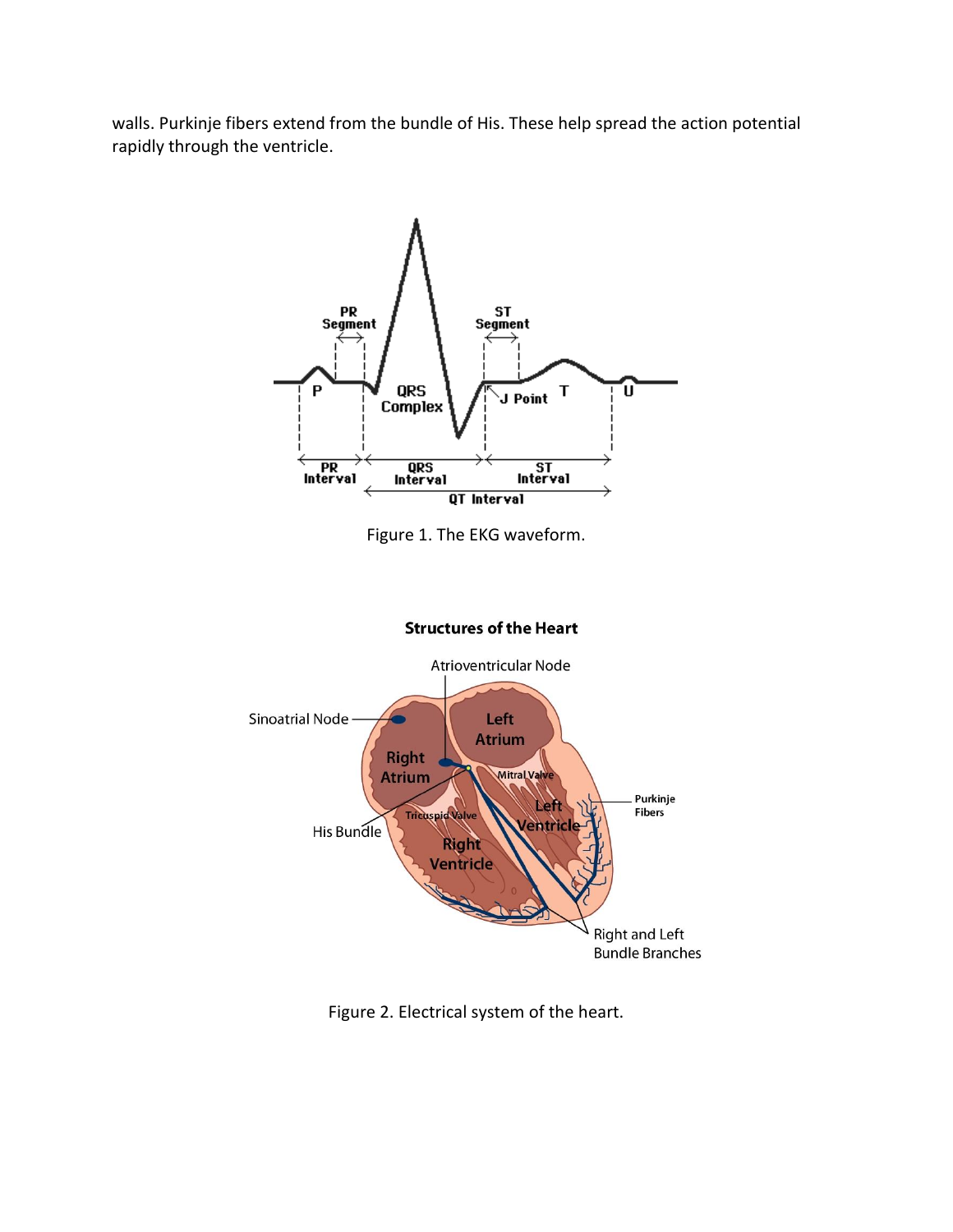walls. Purkinje fibers extend from the bundle of His. These help spread the action potential rapidly through the ventricle.

<span id="page-1-0"></span>

Figure 1. The EKG waveform.



#### **Structures of the Heart**

<span id="page-1-1"></span>Figure 2. Electrical system of the heart.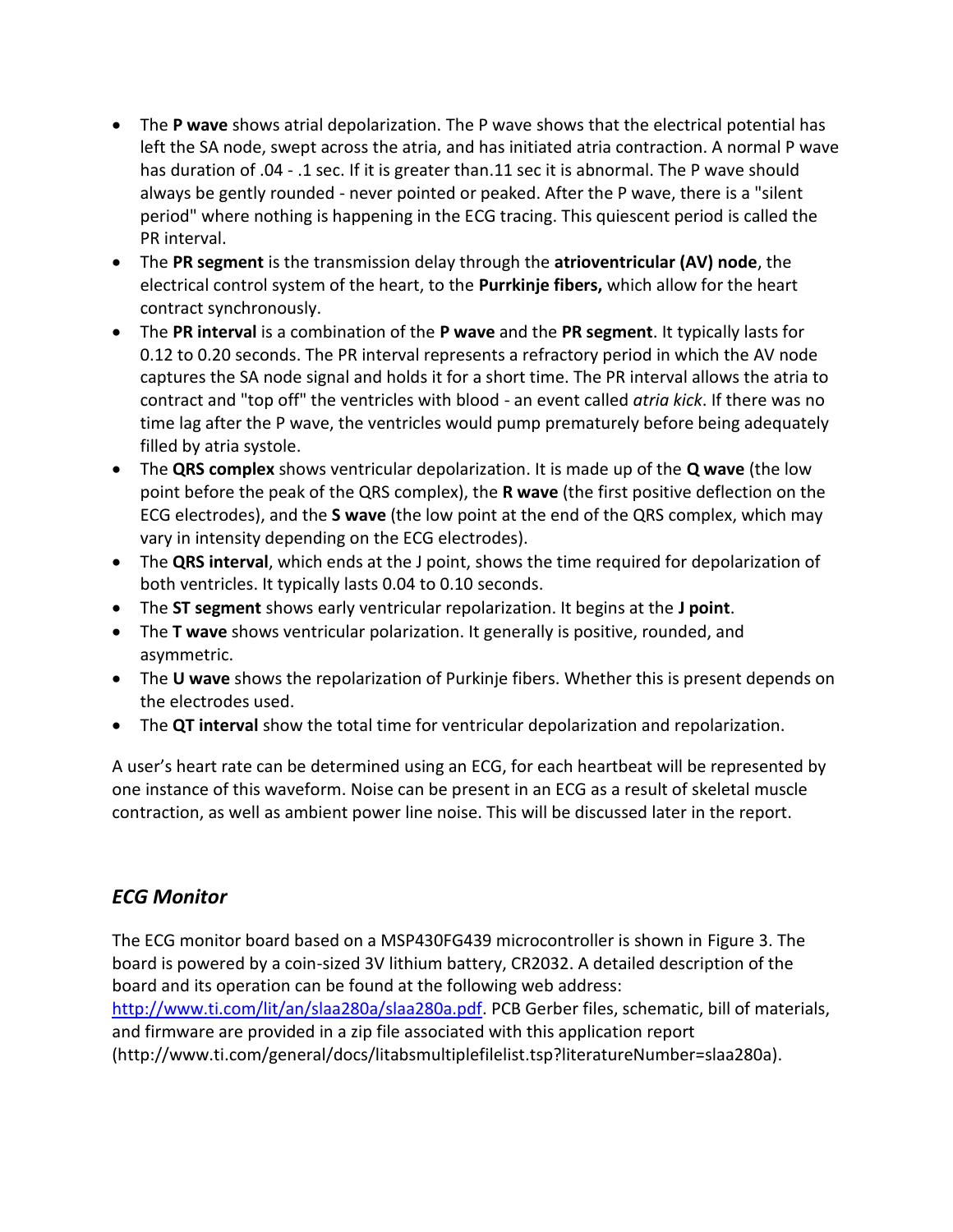- The **P wave** shows atrial depolarization. The P wave shows that the electrical potential has left the SA node, swept across the atria, and has initiated atria contraction. A normal P wave has duration of .04 - .1 sec. If it is greater than.11 sec it is abnormal. The P wave should always be gently rounded - never pointed or peaked. After the P wave, there is a "silent period" where nothing is happening in the ECG tracing. This quiescent period is called the PR interval.
- The **PR segment** is the transmission delay through the **atrioventricular (AV) node**, the electrical control system of the heart, to the **Purrkinje fibers,** which allow for the heart contract synchronously.
- The **PR interval** is a combination of the **P wave** and the **PR segment**. It typically lasts for 0.12 to 0.20 seconds. The PR interval represents a refractory period in which the AV node captures the SA node signal and holds it for a short time. The PR interval allows the atria to contract and "top off" the ventricles with blood - an event called *atria kick*. If there was no time lag after the P wave, the ventricles would pump prematurely before being adequately filled by atria systole.
- The **QRS complex** shows ventricular depolarization. It is made up of the **Q wave** (the low point before the peak of the QRS complex), the **R wave** (the first positive deflection on the ECG electrodes), and the **S wave** (the low point at the end of the QRS complex, which may vary in intensity depending on the ECG electrodes).
- The **QRS interval**, which ends at the J point, shows the time required for depolarization of both ventricles. It typically lasts 0.04 to 0.10 seconds.
- The **ST segment** shows early ventricular repolarization. It begins at the **J point**.
- The **T wave** shows ventricular polarization. It generally is positive, rounded, and asymmetric.
- The **U wave** shows the repolarization of Purkinje fibers. Whether this is present depends on the electrodes used.
- The **QT interval** show the total time for ventricular depolarization and repolarization.

A user's heart rate can be determined using an ECG, for each heartbeat will be represented by one instance of this waveform. Noise can be present in an ECG as a result of skeletal muscle contraction, as well as ambient power line noise. This will be discussed later in the report.

#### *ECG Monitor*

The ECG monitor board based on a MSP430FG439 microcontroller is shown in [Figure 3.](#page-3-0) The board is powered by a coin-sized 3V lithium battery, CR2032. A detailed description of the board and its operation can be found at the following web address: [http://www.ti.com/lit/an/slaa280a/slaa280a.pdf.](http://www.ti.com/lit/an/slaa280a/slaa280a.pdf) PCB Gerber files, schematic, bill of materials, and firmware are provided in a zip file associated with this application report

(http://www.ti.com/general/docs/litabsmultiplefilelist.tsp?literatureNumber=slaa280a).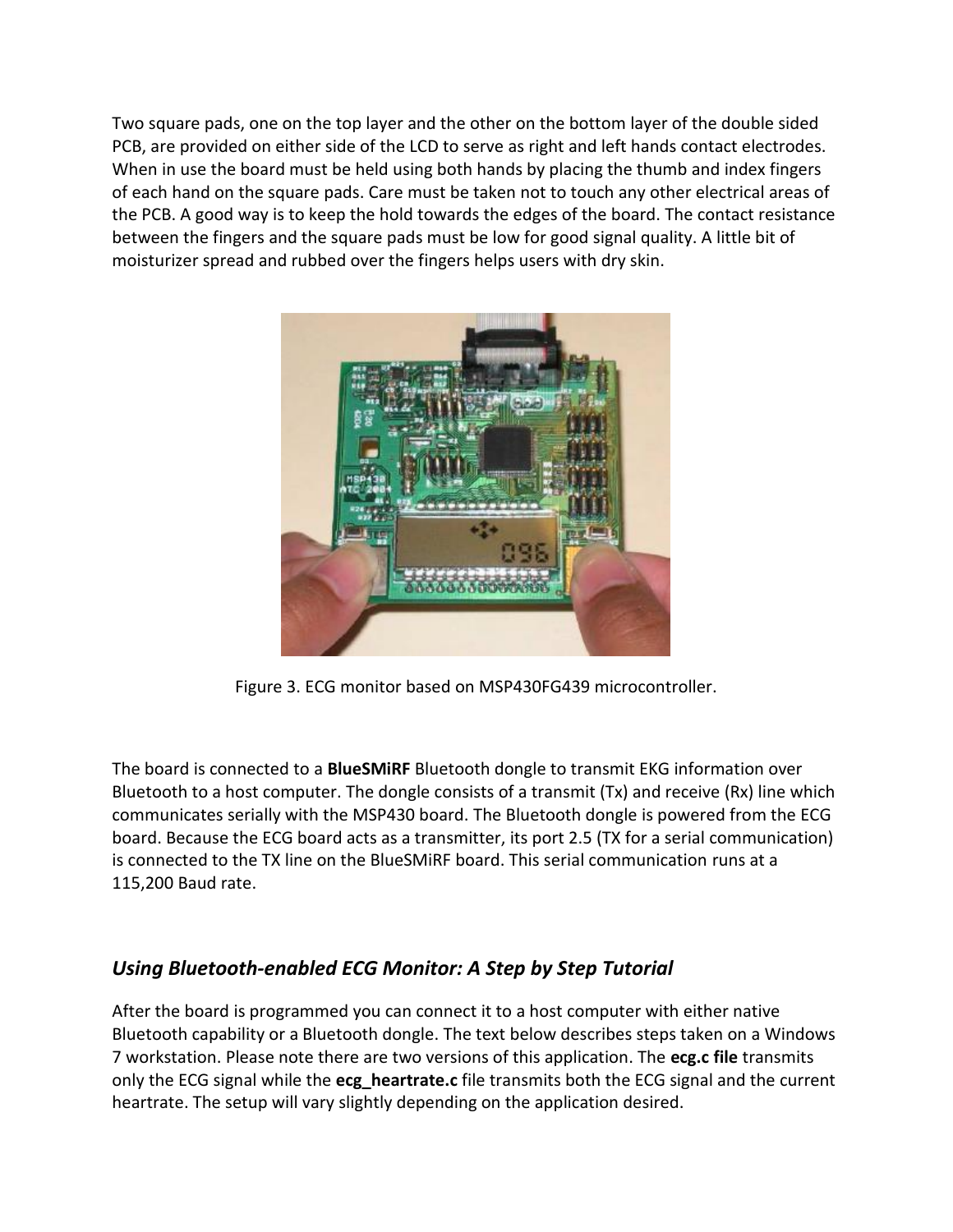Two square pads, one on the top layer and the other on the bottom layer of the double sided PCB, are provided on either side of the LCD to serve as right and left hands contact electrodes. When in use the board must be held using both hands by placing the thumb and index fingers of each hand on the square pads. Care must be taken not to touch any other electrical areas of the PCB. A good way is to keep the hold towards the edges of the board. The contact resistance between the fingers and the square pads must be low for good signal quality. A little bit of moisturizer spread and rubbed over the fingers helps users with dry skin.



Figure 3. ECG monitor based on MSP430FG439 microcontroller.

<span id="page-3-0"></span>The board is connected to a **BlueSMiRF** Bluetooth dongle to transmit EKG information over Bluetooth to a host computer. The dongle consists of a transmit (Tx) and receive (Rx) line which communicates serially with the MSP430 board. The Bluetooth dongle is powered from the ECG board. Because the ECG board acts as a transmitter, its port 2.5 (TX for a serial communication) is connected to the TX line on the BlueSMiRF board. This serial communication runs at a 115,200 Baud rate.

# *Using Bluetooth-enabled ECG Monitor: A Step by Step Tutorial*

After the board is programmed you can connect it to a host computer with either native Bluetooth capability or a Bluetooth dongle. The text below describes steps taken on a Windows 7 workstation. Please note there are two versions of this application. The **ecg.c file** transmits only the ECG signal while the **ecg\_heartrate.c** file transmits both the ECG signal and the current heartrate. The setup will vary slightly depending on the application desired.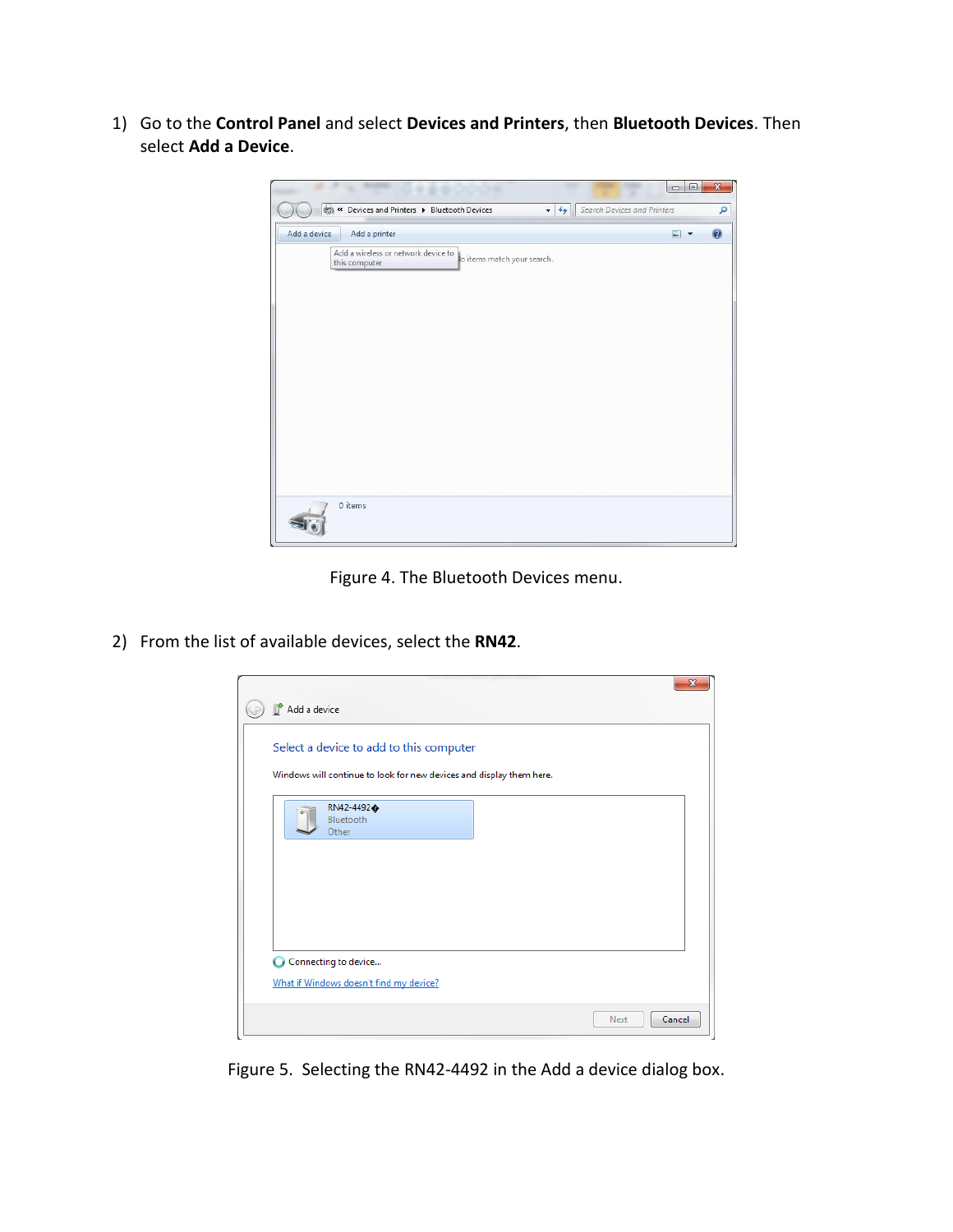1) Go to the **Control Panel** and select **Devices and Printers**, then **Bluetooth Devices**. Then select **Add a Device**.



Figure 4. The Bluetooth Devices menu.

2) From the list of available devices, select the **RN42**.

| Select a device to add to this computer                              |  |  |  |
|----------------------------------------------------------------------|--|--|--|
|                                                                      |  |  |  |
| Windows will continue to look for new devices and display them here. |  |  |  |
| RN42-4492 $\spadesuit$<br>Bluetooth                                  |  |  |  |
| Other                                                                |  |  |  |
|                                                                      |  |  |  |
|                                                                      |  |  |  |
|                                                                      |  |  |  |
|                                                                      |  |  |  |
| Connecting to device                                                 |  |  |  |
| What if Windows doesn't find my device?                              |  |  |  |

Figure 5. Selecting the RN42-4492 in the Add a device dialog box.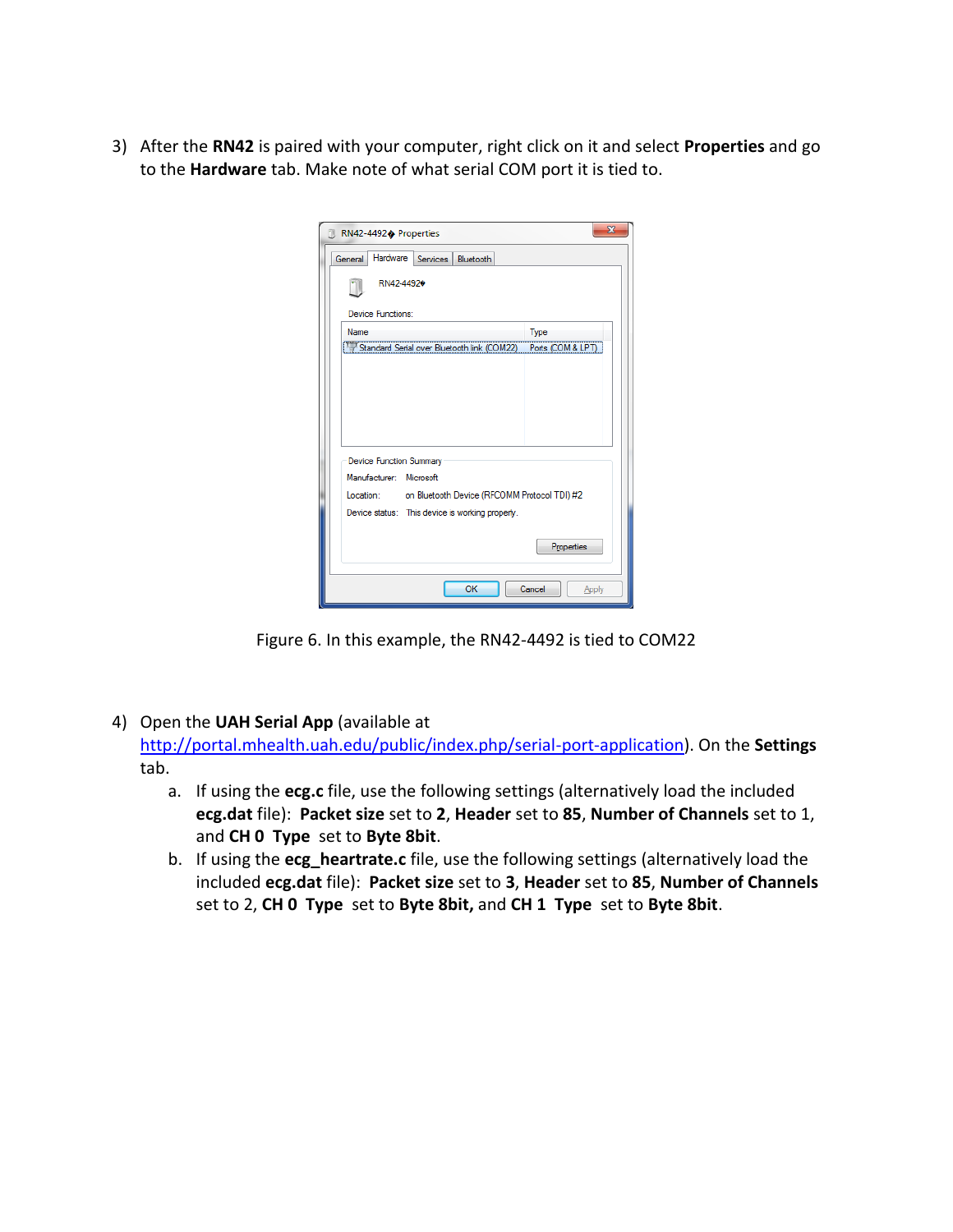3) After the **RN42** is paired with your computer, right click on it and select **Properties** and go to the **Hardware** tab. Make note of what serial COM port it is tied to.

| RN42-4492♠ Properties                                     | $\overline{\mathbf{x}}$ |  |  |  |  |
|-----------------------------------------------------------|-------------------------|--|--|--|--|
| Hardware Services Bluetooth<br>General                    |                         |  |  |  |  |
| RN42-44920                                                |                         |  |  |  |  |
| Device Functions:                                         |                         |  |  |  |  |
| <b>Name</b>                                               | Type                    |  |  |  |  |
| <b>T Standard Serial over Bluetooth link (COM22)</b>      | Ports (COM & LPT)       |  |  |  |  |
|                                                           |                         |  |  |  |  |
|                                                           |                         |  |  |  |  |
|                                                           |                         |  |  |  |  |
|                                                           |                         |  |  |  |  |
| <b>Device Function Summary</b>                            |                         |  |  |  |  |
| Manufacturer: Microsoft                                   |                         |  |  |  |  |
| on Bluetooth Device (RFCOMM Protocol TDI) #2<br>Location: |                         |  |  |  |  |
|                                                           |                         |  |  |  |  |
| Device status: This device is working properly.           |                         |  |  |  |  |
|                                                           | Properties              |  |  |  |  |
|                                                           |                         |  |  |  |  |
| OK                                                        | Cancel<br>Apply         |  |  |  |  |

Figure 6. In this example, the RN42-4492 is tied to COM22

4) Open the **UAH Serial App** (available at

[http://portal.mhealth.uah.edu/public/index.php/serial-port-application\)](http://portal.mhealth.uah.edu/public/index.php/serial-port-application). On the **Settings** tab.

- a. If using the **ecg.c** file, use the following settings (alternatively load the included **ecg.dat** file): **Packet size** set to **2**, **Header** set to **85**, **Number of Channels** set to 1, and **CH 0 Type** set to **Byte 8bit**.
- b. If using the **ecg\_heartrate.c** file, use the following settings (alternatively load the included **ecg.dat** file): **Packet size** set to **3**, **Header** set to **85**, **Number of Channels** set to 2, **CH 0 Type** set to **Byte 8bit,** and **CH 1 Type** set to **Byte 8bit**.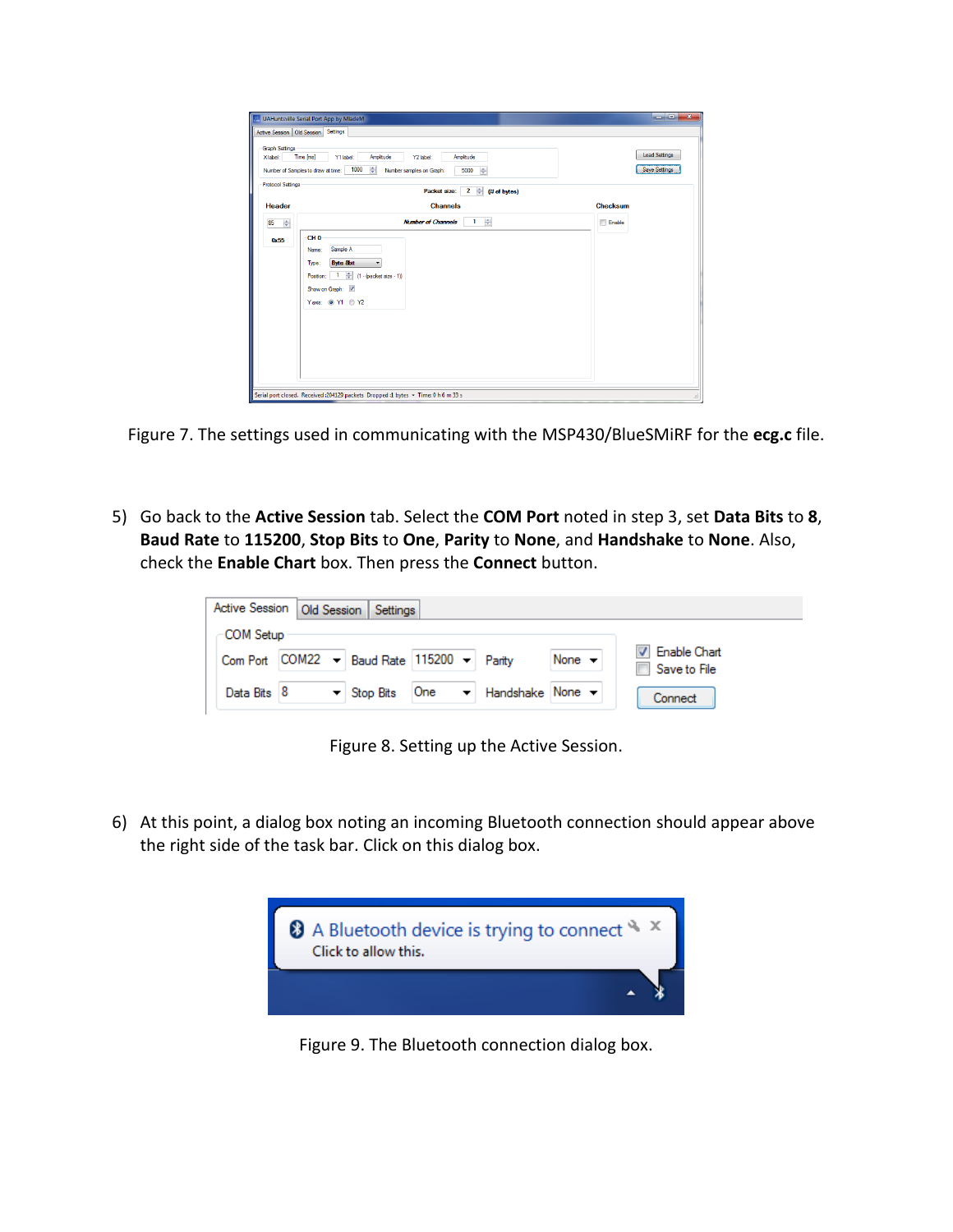| <b>Graph Settings</b>    | Active Session   Old Session   Settings                                                  |                 |
|--------------------------|------------------------------------------------------------------------------------------|-----------------|
| Xlabel:                  | Time [ms]<br>Amplitude<br>Amplitude<br>Y1 label:<br>Y2 label:                            | Load Settings   |
|                          | ÷<br>1000<br>ᆃ<br>Number of Samples to draw at time:<br>Number samples on Graph:<br>5000 | Save Settings   |
| <b>Protocol Settings</b> | $\overline{2}$<br>ᆃ<br>Packet size:<br>(# of bytes)                                      |                 |
| <b>Header</b>            | <b>Channels</b>                                                                          | <b>Checksum</b> |
| ᆃ<br>85                  | ᆃ<br><b>Number of Channels</b><br>$\mathbf{1}$                                           | Enable          |
| 0x55                     | CH <sub>0</sub>                                                                          |                 |
|                          | Sample A<br>Name:                                                                        |                 |
|                          | <b>Byte 8bit</b><br>Type:<br>٠                                                           |                 |
|                          | ᆃ<br>-1.<br>$(1 - (packet size - 1))$<br>Postion:                                        |                 |
|                          | Show on Graph: V                                                                         |                 |
|                          | Yaxis: @ Y1 @ Y2                                                                         |                 |
|                          |                                                                                          |                 |
|                          |                                                                                          |                 |
|                          |                                                                                          |                 |
|                          |                                                                                          |                 |
|                          |                                                                                          |                 |

Figure 7. The settings used in communicating with the MSP430/BlueSMiRF for the **ecg.c** file.

5) Go back to the **Active Session** tab. Select the **COM Port** noted in step 3, set **Data Bits** to **8**, **Baud Rate** to **115200**, **Stop Bits** to **One**, **Parity** to **None**, and **Handshake** to **None**. Also, check the **Enable Chart** box. Then press the **Connect** button.

|             | Active Session   Old Session   Settings                      |     |                                                            |                            |                                       |
|-------------|--------------------------------------------------------------|-----|------------------------------------------------------------|----------------------------|---------------------------------------|
| COM Setup   |                                                              |     |                                                            |                            |                                       |
|             | Com Port $COM22 - Bas$ Baud Rate 115200 $\rightarrow$ Parity |     |                                                            | None $\blacktriangleright$ | <b>V</b> Enable Chart<br>Save to File |
| Data Bits 8 | $\blacktriangleright$ Stop Bits                              | One | $\blacktriangleright$ Handshake None $\blacktriangleright$ |                            | Connect                               |

Figure 8. Setting up the Active Session.

6) At this point, a dialog box noting an incoming Bluetooth connection should appear above the right side of the task bar. Click on this dialog box.



Figure 9. The Bluetooth connection dialog box.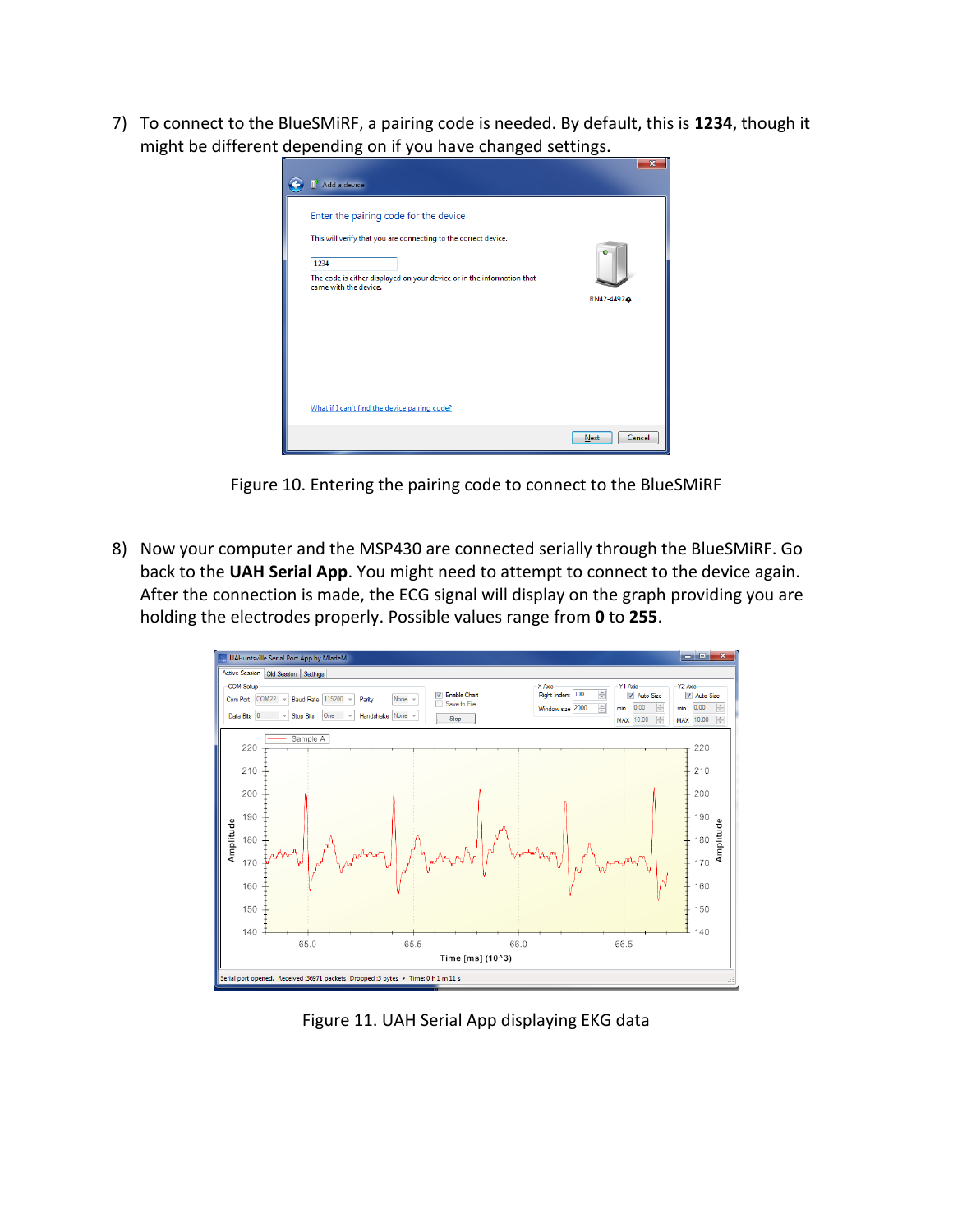7) To connect to the BlueSMiRF, a pairing code is needed. By default, this is **1234**, though it might be different depending on if you have changed settings.

| Add a device                                                                                    |                       |
|-------------------------------------------------------------------------------------------------|-----------------------|
| Enter the pairing code for the device                                                           |                       |
| This will verify that you are connecting to the correct device.                                 |                       |
| 1234                                                                                            |                       |
| The code is either displayed on your device or in the information that<br>came with the device. |                       |
|                                                                                                 | RN42-4492 $\bullet$   |
|                                                                                                 |                       |
|                                                                                                 |                       |
|                                                                                                 |                       |
| What if I can't find the device pairing code?                                                   |                       |
|                                                                                                 |                       |
|                                                                                                 | Cancel<br><b>Next</b> |

Figure 10. Entering the pairing code to connect to the BlueSMiRF

8) Now your computer and the MSP430 are connected serially through the BlueSMiRF. Go back to the **UAH Serial App**. You might need to attempt to connect to the device again. After the connection is made, the ECG signal will display on the graph providing you are holding the electrodes properly. Possible values range from **0** to **255**.



Figure 11. UAH Serial App displaying EKG data